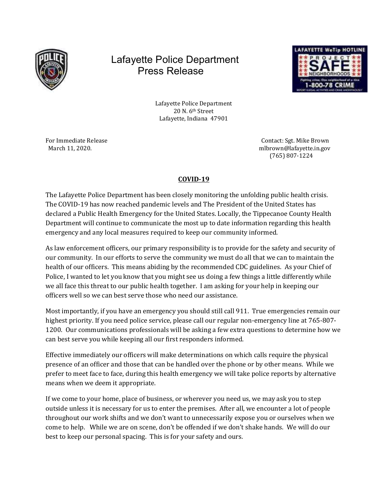

## Lafayette Police Department Press Release



Lafayette Police Department 20 N. 6<sup>th</sup> Street Lafayette, Indiana 47901

For Immediate Release Contact: Sgt. Mike Brown March 11, 2020. mlbrown@lafayette.in.gov (765) 807-1224

## COVID-19

The Lafayette Police Department has been closely monitoring the unfolding public health crisis. The COVID-19 has now reached pandemic levels and The President of the United States has declared a Public Health Emergency for the United States. Locally, the Tippecanoe County Health Department will continue to communicate the most up to date information regarding this health emergency and any local measures required to keep our community informed.

As law enforcement officers, our primary responsibility is to provide for the safety and security of our community. In our efforts to serve the community we must do all that we can to maintain the health of our officers. This means abiding by the recommended CDC guidelines. As your Chief of Police, I wanted to let you know that you might see us doing a few things a little differently while we all face this threat to our public health together. I am asking for your help in keeping our officers well so we can best serve those who need our assistance.

Most importantly, if you have an emergency you should still call 911. True emergencies remain our highest priority. If you need police service, please call our regular non-emergency line at 765-807- 1200. Our communications professionals will be asking a few extra questions to determine how we can best serve you while keeping all our first responders informed.

Effective immediately our officers will make determinations on which calls require the physical presence of an officer and those that can be handled over the phone or by other means. While we prefer to meet face to face, during this health emergency we will take police reports by alternative means when we deem it appropriate.

If we come to your home, place of business, or wherever you need us, we may ask you to step outside unless it is necessary for us to enter the premises. After all, we encounter a lot of people throughout our work shifts and we don't want to unnecessarily expose you or ourselves when we come to help. While we are on scene, don't be offended if we don't shake hands. We will do our best to keep our personal spacing. This is for your safety and ours.